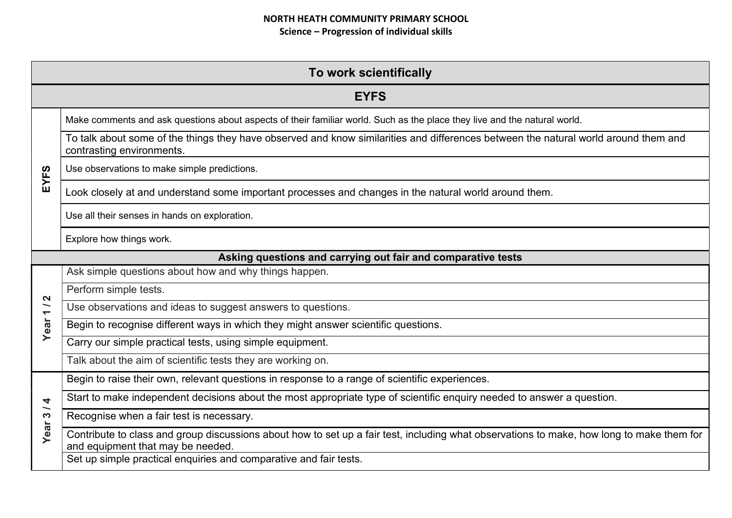| To work scientifically                                    |                                                                                                                                                                                |  |  |
|-----------------------------------------------------------|--------------------------------------------------------------------------------------------------------------------------------------------------------------------------------|--|--|
|                                                           | <b>EYFS</b>                                                                                                                                                                    |  |  |
|                                                           | Make comments and ask questions about aspects of their familiar world. Such as the place they live and the natural world.                                                      |  |  |
|                                                           | To talk about some of the things they have observed and know similarities and differences between the natural world around them and<br>contrasting environments.               |  |  |
| S                                                         | Use observations to make simple predictions.                                                                                                                                   |  |  |
| EYF.                                                      | Look closely at and understand some important processes and changes in the natural world around them.                                                                          |  |  |
|                                                           | Use all their senses in hands on exploration.                                                                                                                                  |  |  |
|                                                           | Explore how things work.                                                                                                                                                       |  |  |
|                                                           | Asking questions and carrying out fair and comparative tests                                                                                                                   |  |  |
|                                                           | Ask simple questions about how and why things happen.                                                                                                                          |  |  |
| $\mathbf{\Omega}$                                         | Perform simple tests.                                                                                                                                                          |  |  |
| $\overline{\phantom{0}}$<br>$\overline{\phantom{0}}$      | Use observations and ideas to suggest answers to questions.                                                                                                                    |  |  |
| Year                                                      | Begin to recognise different ways in which they might answer scientific questions.                                                                                             |  |  |
|                                                           | Carry our simple practical tests, using simple equipment.                                                                                                                      |  |  |
|                                                           | Talk about the aim of scientific tests they are working on.                                                                                                                    |  |  |
|                                                           | Begin to raise their own, relevant questions in response to a range of scientific experiences.                                                                                 |  |  |
| 4                                                         | Start to make independent decisions about the most appropriate type of scientific enquiry needed to answer a question.                                                         |  |  |
| $\overline{\phantom{0}}$<br>$\boldsymbol{\omega}$<br>Year | Recognise when a fair test is necessary.                                                                                                                                       |  |  |
|                                                           | Contribute to class and group discussions about how to set up a fair test, including what observations to make, how long to make them for<br>and equipment that may be needed. |  |  |
|                                                           | Set up simple practical enquiries and comparative and fair tests.                                                                                                              |  |  |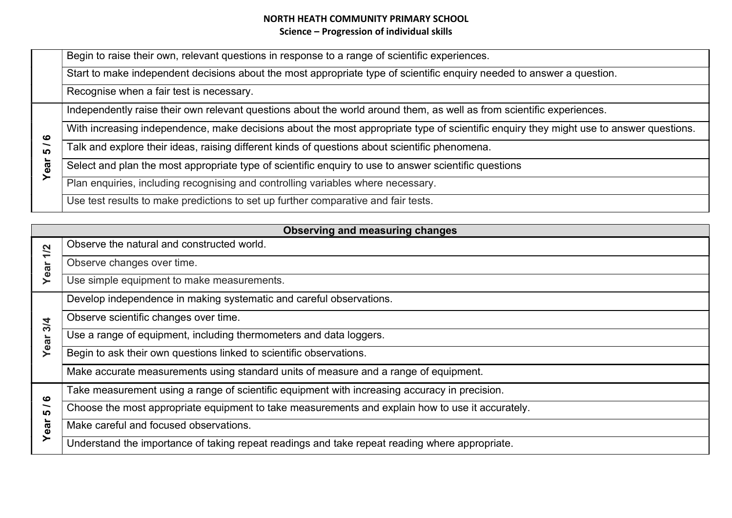|              | Begin to raise their own, relevant questions in response to a range of scientific experiences.                                         |
|--------------|----------------------------------------------------------------------------------------------------------------------------------------|
|              | Start to make independent decisions about the most appropriate type of scientific enquiry needed to answer a question.                 |
|              | Recognise when a fair test is necessary.                                                                                               |
| ဖ<br>ທ<br>Θã | Independently raise their own relevant questions about the world around them, as well as from scientific experiences.                  |
|              | With increasing independence, make decisions about the most appropriate type of scientific enquiry they might use to answer questions. |
|              | Talk and explore their ideas, raising different kinds of questions about scientific phenomena.                                         |
|              | Select and plan the most appropriate type of scientific enquiry to use to answer scientific questions                                  |
|              | Plan enquiries, including recognising and controlling variables where necessary.                                                       |
|              | Use test results to make predictions to set up further comparative and fair tests.                                                     |

| Observing and measuring changes |                                                                                                  |
|---------------------------------|--------------------------------------------------------------------------------------------------|
| 1/2<br>Year                     | Observe the natural and constructed world.                                                       |
|                                 | Observe changes over time.                                                                       |
|                                 | Use simple equipment to make measurements.                                                       |
|                                 | Develop independence in making systematic and careful observations.                              |
| 3/4                             | Observe scientific changes over time.                                                            |
| Year                            | Use a range of equipment, including thermometers and data loggers.                               |
|                                 | Begin to ask their own questions linked to scientific observations.                              |
|                                 | Make accurate measurements using standard units of measure and a range of equipment.             |
| ဖ                               | Take measurement using a range of scientific equipment with increasing accuracy in precision.    |
| <u> LO</u><br>Year              | Choose the most appropriate equipment to take measurements and explain how to use it accurately. |
|                                 | Make careful and focused observations.                                                           |
|                                 | Understand the importance of taking repeat readings and take repeat reading where appropriate.   |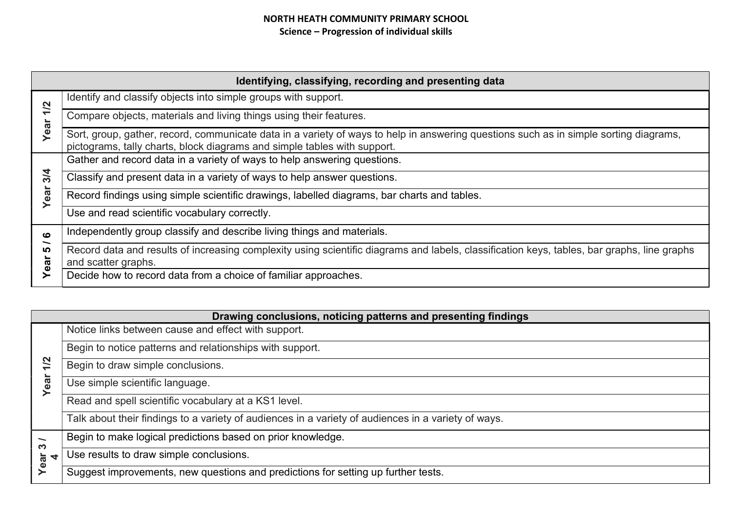| Identifying, classifying, recording and presenting data |                                                                                                                                                                                                                   |
|---------------------------------------------------------|-------------------------------------------------------------------------------------------------------------------------------------------------------------------------------------------------------------------|
| Year <sub>1/2</sub>                                     | Identify and classify objects into simple groups with support.                                                                                                                                                    |
|                                                         | Compare objects, materials and living things using their features.                                                                                                                                                |
|                                                         | Sort, group, gather, record, communicate data in a variety of ways to help in answering questions such as in simple sorting diagrams,<br>pictograms, tally charts, block diagrams and simple tables with support. |
|                                                         | Gather and record data in a variety of ways to help answering questions.                                                                                                                                          |
| 3/4<br>Year                                             | Classify and present data in a variety of ways to help answer questions.                                                                                                                                          |
|                                                         | Record findings using simple scientific drawings, labelled diagrams, bar charts and tables.                                                                                                                       |
|                                                         | Use and read scientific vocabulary correctly.                                                                                                                                                                     |
| ဖ<br><u> ဟ</u><br>Year                                  | Independently group classify and describe living things and materials.                                                                                                                                            |
|                                                         | Record data and results of increasing complexity using scientific diagrams and labels, classification keys, tables, bar graphs, line graphs<br>and scatter graphs.                                                |
|                                                         | Decide how to record data from a choice of familiar approaches.                                                                                                                                                   |

| Drawing conclusions, noticing patterns and presenting findings |                                                                                                     |
|----------------------------------------------------------------|-----------------------------------------------------------------------------------------------------|
| 1/2<br>ea                                                      | Notice links between cause and effect with support.                                                 |
|                                                                | Begin to notice patterns and relationships with support.                                            |
|                                                                | Begin to draw simple conclusions.                                                                   |
|                                                                | Use simple scientific language.                                                                     |
|                                                                | Read and spell scientific vocabulary at a KS1 level.                                                |
|                                                                | Talk about their findings to a variety of audiences in a variety of audiences in a variety of ways. |
| $\overline{\phantom{0}}$<br><u>ຕາ</u><br>Year<br>₹             | Begin to make logical predictions based on prior knowledge.                                         |
|                                                                | Use results to draw simple conclusions.                                                             |
|                                                                | Suggest improvements, new questions and predictions for setting up further tests.                   |